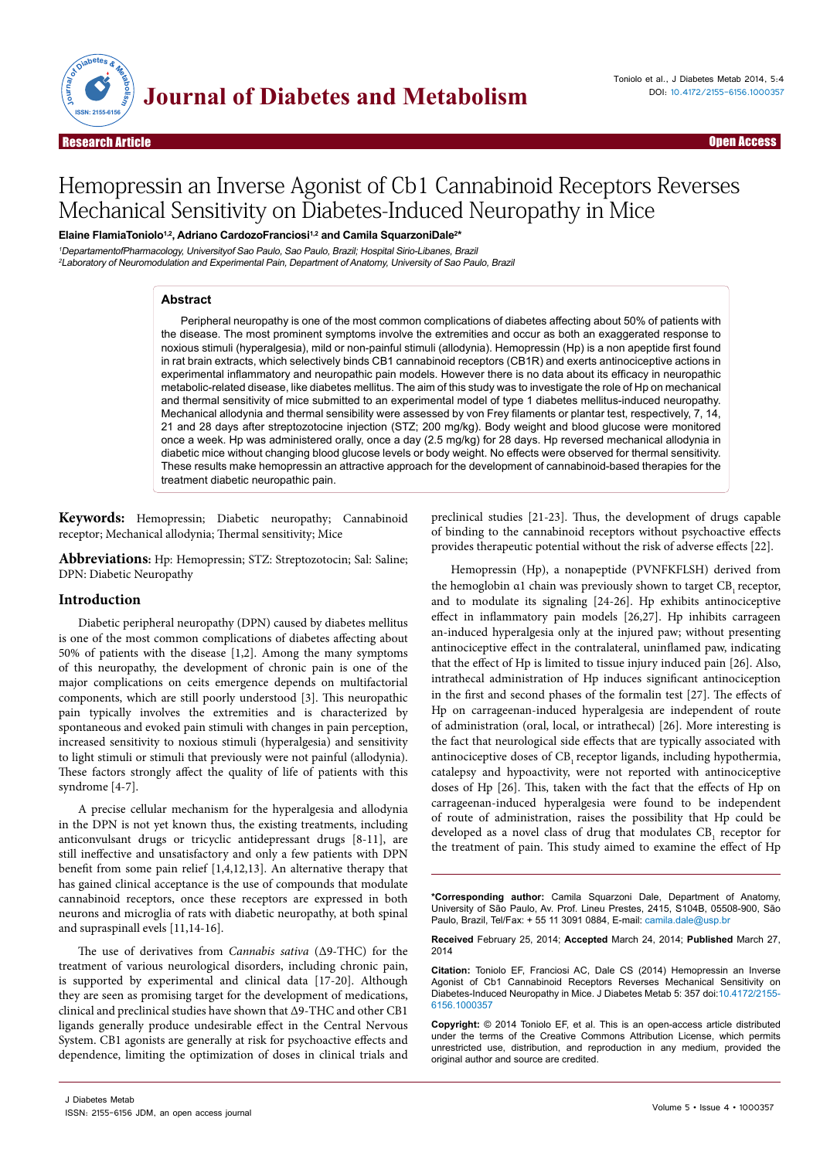

Open Access

# Hemopressin an Inverse Agonist of Cb1 Cannabinoid Receptors Reverses Mechanical Sensitivity on Diabetes-Induced Neuropathy in Mice

**Elaine FlamiaToniolo1,2, Adriano CardozoFranciosi1,2 and Camila SquarzoniDale2 \***

<sup>1</sup>DepartamentofPharmacology, Universityof Sao Paulo, Sao Paulo, Brazil; Hospital Sirio-Libanes, Brazil <sup>2</sup>Laboratory of Neuromodulation and Experimental Pain, Department of Anatomy, University of Sao Paulo, Brazil

## **Abstract**

Peripheral neuropathy is one of the most common complications of diabetes affecting about 50% of patients with the disease. The most prominent symptoms involve the extremities and occur as both an exaggerated response to noxious stimuli (hyperalgesia), mild or non-painful stimuli (allodynia). Hemopressin (Hp) is a non apeptide first found in rat brain extracts, which selectively binds CB1 cannabinoid receptors (CB1R) and exerts antinociceptive actions in experimental inflammatory and neuropathic pain models. However there is no data about its efficacy in neuropathic metabolic-related disease, like diabetes mellitus. The aim of this study was to investigate the role of Hp on mechanical and thermal sensitivity of mice submitted to an experimental model of type 1 diabetes mellitus-induced neuropathy. Mechanical allodynia and thermal sensibility were assessed by von Frey filaments or plantar test, respectively, 7, 14, 21 and 28 days after streptozotocine injection (STZ; 200 mg/kg). Body weight and blood glucose were monitored once a week. Hp was administered orally, once a day (2.5 mg/kg) for 28 days. Hp reversed mechanical allodynia in diabetic mice without changing blood glucose levels or body weight. No effects were observed for thermal sensitivity. These results make hemopressin an attractive approach for the development of cannabinoid-based therapies for the treatment diabetic neuropathic pain.

**Keywords:** Hemopressin; Diabetic neuropathy; Cannabinoid receptor; Mechanical allodynia; Thermal sensitivity; Mice

**Abbreviations:** Hp: Hemopressin; STZ: Streptozotocin; Sal: Saline; DPN: Diabetic Neuropathy

## **Introduction**

Diabetic peripheral neuropathy (DPN) caused by diabetes mellitus is one of the most common complications of diabetes affecting about 50% of patients with the disease [1,2]. Among the many symptoms of this neuropathy, the development of chronic pain is one of the major complications on ceits emergence depends on multifactorial components, which are still poorly understood [3]. This neuropathic pain typically involves the extremities and is characterized by spontaneous and evoked pain stimuli with changes in pain perception, increased sensitivity to noxious stimuli (hyperalgesia) and sensitivity to light stimuli or stimuli that previously were not painful (allodynia). These factors strongly affect the quality of life of patients with this syndrome [4-7].

A precise cellular mechanism for the hyperalgesia and allodynia in the DPN is not yet known thus, the existing treatments, including anticonvulsant drugs or tricyclic antidepressant drugs [8-11], are still ineffective and unsatisfactory and only a few patients with DPN benefit from some pain relief [1,4,12,13]. An alternative therapy that has gained clinical acceptance is the use of compounds that modulate cannabinoid receptors, once these receptors are expressed in both neurons and microglia of rats with diabetic neuropathy, at both spinal and supraspinall evels [11,14-16].

The use of derivatives from *Cannabis sativa* (Δ9-THC) for the treatment of various neurological disorders, including chronic pain, is supported by experimental and clinical data [17-20]. Although they are seen as promising target for the development of medications, clinical and preclinical studies have shown that Δ9-THC and other CB1 ligands generally produce undesirable effect in the Central Nervous System. CB1 agonists are generally at risk for psychoactive effects and dependence, limiting the optimization of doses in clinical trials and

preclinical studies [21-23]. Thus, the development of drugs capable of binding to the cannabinoid receptors without psychoactive effects provides therapeutic potential without the risk of adverse effects [22].

Hemopressin (Hp), a nonapeptide (PVNFKFLSH) derived from the hemoglobin α1 chain was previously shown to target CB, receptor, and to modulate its signaling [24-26]. Hp exhibits antinociceptive effect in inflammatory pain models [26,27]. Hp inhibits carrageen an-induced hyperalgesia only at the injured paw; without presenting antinociceptive effect in the contralateral, uninflamed paw, indicating that the effect of Hp is limited to tissue injury induced pain [26]. Also, intrathecal administration of Hp induces significant antinociception in the first and second phases of the formalin test [27]. The effects of Hp on carrageenan-induced hyperalgesia are independent of route of administration (oral, local, or intrathecal) [26]. More interesting is the fact that neurological side effects that are typically associated with antinociceptive doses of CB, receptor ligands, including hypothermia, catalepsy and hypoactivity, were not reported with antinociceptive doses of Hp [26]. This, taken with the fact that the effects of Hp on carrageenan-induced hyperalgesia were found to be independent of route of administration, raises the possibility that Hp could be developed as a novel class of drug that modulates  $CB_1$  receptor for the treatment of pain. This study aimed to examine the effect of Hp

**\*Corresponding author:** Camila Squarzoni Dale, Department of Anatomy, University of São Paulo, Av. Prof. Lineu Prestes, 2415, S104B, 05508-900, São Paulo, Brazil, Tel/Fax: + 55 11 3091 0884, E-mail: camila.dale@usp.br

**Received** February 25, 2014; **Accepted** March 24, 2014; **Published** March 27, 2014

**Citation:** Toniolo EF, Franciosi AC, Dale CS (2014) Hemopressin an Inverse Agonist of Cb1 Cannabinoid Receptors Reverses Mechanical Sensitivity on Diabetes-Induced Neuropathy in Mice. J Diabetes Metab 5: 357 doi:10.4172/2155- 6156.1000357

**Copyright:** © 2014 Toniolo EF, et al. This is an open-access article distributed under the terms of the Creative Commons Attribution License, which permits unrestricted use, distribution, and reproduction in any medium, provided the original author and source are credited.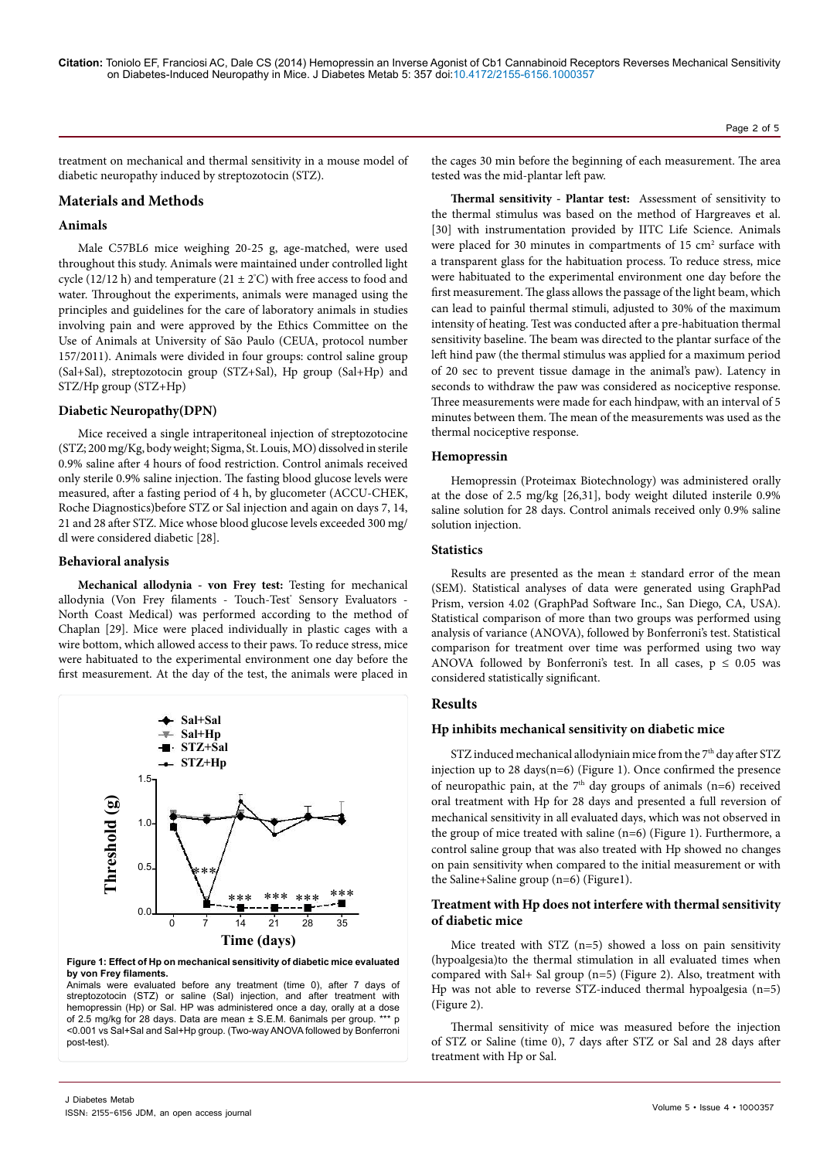treatment on mechanical and thermal sensitivity in a mouse model of diabetic neuropathy induced by streptozotocin (STZ).

## **Materials and Methods**

## **Animals**

Male C57BL6 mice weighing 20-25 g, age-matched, were used throughout this study. Animals were maintained under controlled light cycle (12/12 h) and temperature (21  $\pm$  2°C) with free access to food and water. Throughout the experiments, animals were managed using the principles and guidelines for the care of laboratory animals in studies involving pain and were approved by the Ethics Committee on the Use of Animals at University of São Paulo (CEUA, protocol number 157/2011). Animals were divided in four groups: control saline group (Sal+Sal), streptozotocin group (STZ+Sal), Hp group (Sal+Hp) and STZ/Hp group (STZ+Hp)

### **Diabetic Neuropathy(DPN)**

Mice received a single intraperitoneal injection of streptozotocine (STZ; 200 mg/Kg, body weight; Sigma, St. Louis, MO) dissolved in sterile 0.9% saline after 4 hours of food restriction. Control animals received only sterile 0.9% saline injection. The fasting blood glucose levels were measured, after a fasting period of 4 h, by glucometer (ACCU-CHEK, Roche Diagnostics)before STZ or Sal injection and again on days 7, 14, 21 and 28 after STZ. Mice whose blood glucose levels exceeded 300 mg/ dl were considered diabetic [28].

#### **Behavioral analysis**

**Mechanical allodynia - von Frey test:** Testing for mechanical allodynia (Von Frey filaments - Touch-Test<sup>®</sup> Sensory Evaluators -North Coast Medical) was performed according to the method of Chaplan [29]. Mice were placed individually in plastic cages with a wire bottom, which allowed access to their paws. To reduce stress, mice were habituated to the experimental environment one day before the first measurement. At the day of the test, the animals were placed in



**Figure 1: Effect of Hp on mechanical sensitivity of diabetic mice evaluated by von Frey filaments.**

Animals were evaluated before any treatment (time 0), after 7 days of streptozotocin (STZ) or saline (Sal) injection, and after treatment with hemopressin (Hp) or Sal. HP was administered once a day, orally at a dose of 2.5 mg/kg for 28 days. Data are mean ± S.E.M. 6animals per group. \*\*\* p <0.001 vs Sal+Sal and Sal+Hp group. (Two-way ANOVA followed by Bonferroni post-test).

the cages 30 min before the beginning of each measurement. The area tested was the mid-plantar left paw.

Page 2 of 5

**Thermal sensitivity - Plantar test:** Assessment of sensitivity to the thermal stimulus was based on the method of Hargreaves et al. [30] with instrumentation provided by IITC Life Science. Animals were placed for 30 minutes in compartments of  $15 \text{ cm}^2$  surface with a transparent glass for the habituation process. To reduce stress, mice were habituated to the experimental environment one day before the first measurement. The glass allows the passage of the light beam, which can lead to painful thermal stimuli, adjusted to 30% of the maximum intensity of heating. Test was conducted after a pre-habituation thermal sensitivity baseline. The beam was directed to the plantar surface of the left hind paw (the thermal stimulus was applied for a maximum period of 20 sec to prevent tissue damage in the animal's paw). Latency in seconds to withdraw the paw was considered as nociceptive response. Three measurements were made for each hindpaw, with an interval of 5 minutes between them. The mean of the measurements was used as the thermal nociceptive response.

## **Hemopressin**

Hemopressin (Proteimax Biotechnology) was administered orally at the dose of 2.5 mg/kg [26,31], body weight diluted insterile 0.9% saline solution for 28 days. Control animals received only 0.9% saline solution injection.

## **Statistics**

Results are presented as the mean ± standard error of the mean (SEM). Statistical analyses of data were generated using GraphPad Prism, version 4.02 (GraphPad Software Inc., San Diego, CA, USA). Statistical comparison of more than two groups was performed using analysis of variance (ANOVA), followed by Bonferroni's test. Statistical comparison for treatment over time was performed using two way ANOVA followed by Bonferroni's test. In all cases,  $p \le 0.05$  was considered statistically significant.

#### **Results**

#### **Hp inhibits mechanical sensitivity on diabetic mice**

STZ induced mechanical allodyniain mice from the  $7<sup>th</sup>$  day after STZ injection up to 28 days(n=6) (Figure 1). Once confirmed the presence of neuropathic pain, at the  $7<sup>th</sup>$  day groups of animals (n=6) received oral treatment with Hp for 28 days and presented a full reversion of mechanical sensitivity in all evaluated days, which was not observed in the group of mice treated with saline (n=6) (Figure 1). Furthermore, a control saline group that was also treated with Hp showed no changes on pain sensitivity when compared to the initial measurement or with the Saline+Saline group (n=6) (Figure1).

## **Treatment with Hp does not interfere with thermal sensitivity of diabetic mice**

Mice treated with STZ (n=5) showed a loss on pain sensitivity (hypoalgesia)to the thermal stimulation in all evaluated times when compared with Sal+ Sal group (n=5) (Figure 2). Also, treatment with Hp was not able to reverse STZ-induced thermal hypoalgesia (n=5) (Figure 2).

Thermal sensitivity of mice was measured before the injection of STZ or Saline (time 0), 7 days after STZ or Sal and 28 days after treatment with Hp or Sal.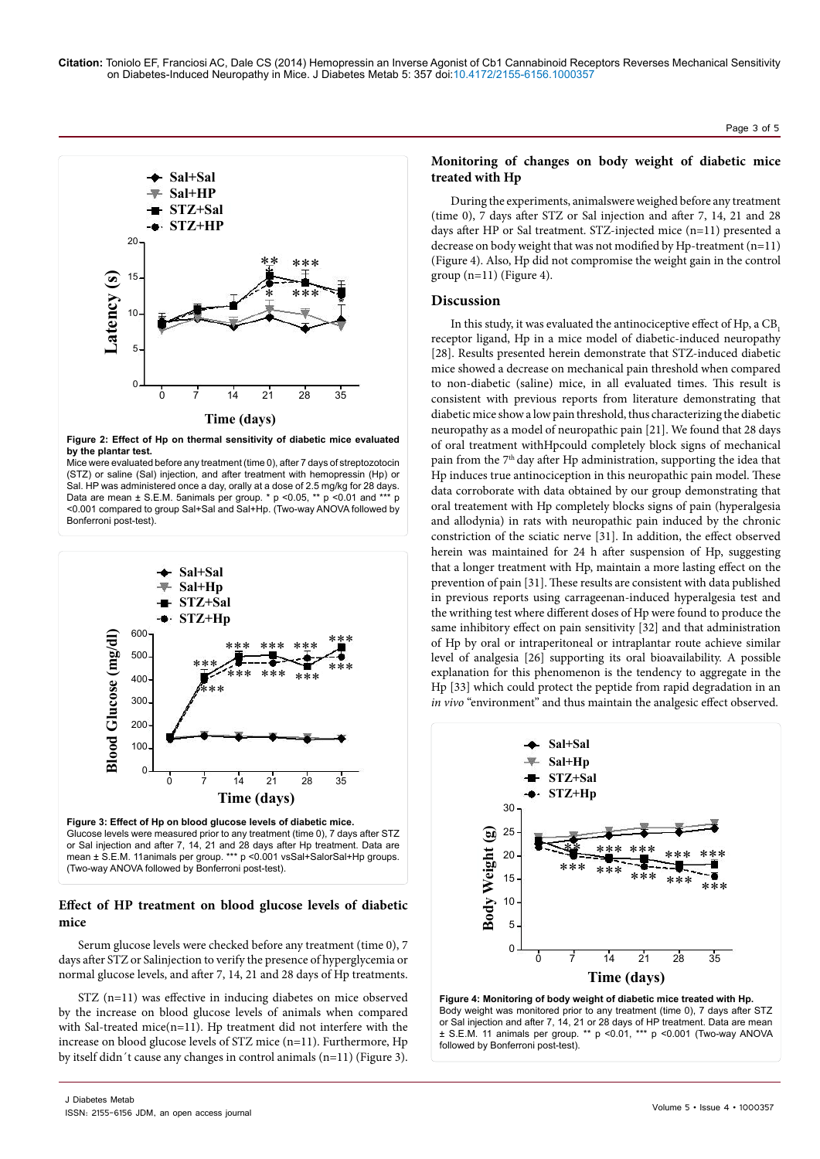

**Figure 2: Effect of Hp on thermal sensitivity of diabetic mice evaluated by the plantar test.**

Mice were evaluated before any treatment (time 0), after 7 days of streptozotocin (STZ) or saline (Sal) injection, and after treatment with hemopressin (Hp) or Sal. HP was administered once a day, orally at a dose of 2.5 mg/kg for 28 days. Data are mean ± S.E.M. 5animals per group. \* p <0.05, \*\* p <0.01 and \*\*\* p <0.001 compared to group Sal+Sal and Sal+Hp. (Two-way ANOVA followed by Bonferroni post-test).





## **Effect of HP treatment on blood glucose levels of diabetic mice**

Serum glucose levels were checked before any treatment (time 0), 7 days after STZ or Salinjection to verify the presence of hyperglycemia or normal glucose levels, and after 7, 14, 21 and 28 days of Hp treatments.

STZ (n=11) was effective in inducing diabetes on mice observed by the increase on blood glucose levels of animals when compared with Sal-treated mice(n=11). Hp treatment did not interfere with the increase on blood glucose levels of STZ mice (n=11). Furthermore, Hp by itself didn´t cause any changes in control animals (n=11) (Figure 3).

## **Monitoring of changes on body weight of diabetic mice treated with Hp**

During the experiments, animalswere weighed before any treatment (time 0), 7 days after STZ or Sal injection and after 7, 14, 21 and 28 days after HP or Sal treatment. STZ-injected mice (n=11) presented a decrease on body weight that was not modified by Hp-treatment (n=11) (Figure 4). Also, Hp did not compromise the weight gain in the control group (n=11) (Figure 4).

### **Discussion**

In this study, it was evaluated the antinociceptive effect of Hp, a CB, receptor ligand, Hp in a mice model of diabetic-induced neuropathy [28]. Results presented herein demonstrate that STZ-induced diabetic mice showed a decrease on mechanical pain threshold when compared to non-diabetic (saline) mice, in all evaluated times. This result is consistent with previous reports from literature demonstrating that diabetic mice show a low pain threshold, thus characterizing the diabetic neuropathy as a model of neuropathic pain [21]. We found that 28 days of oral treatment withHpcould completely block signs of mechanical pain from the 7<sup>th</sup> day after Hp administration, supporting the idea that Hp induces true antinociception in this neuropathic pain model. These data corroborate with data obtained by our group demonstrating that oral treatement with Hp completely blocks signs of pain (hyperalgesia and allodynia) in rats with neuropathic pain induced by the chronic constriction of the sciatic nerve [31]. In addition, the effect observed herein was maintained for 24 h after suspension of Hp, suggesting that a longer treatment with Hp, maintain a more lasting effect on the prevention of pain [31]. These results are consistent with data published in previous reports using carrageenan-induced hyperalgesia test and the writhing test where different doses of Hp were found to produce the same inhibitory effect on pain sensitivity [32] and that administration of Hp by oral or intraperitoneal or intraplantar route achieve similar level of analgesia [26] supporting its oral bioavailability. A possible explanation for this phenomenon is the tendency to aggregate in the Hp [33] which could protect the peptide from rapid degradation in an *in vivo* "environment" and thus maintain the analgesic effect observed.



**Figure 4: Monitoring of body weight of diabetic mice treated with Hp.** Body weight was monitored prior to any treatment (time 0), 7 days after STZ or Sal injection and after 7, 14, 21 or 28 days of HP treatment. Data are mean ± S.E.M. 11 animals per group. \*\* p <0.01, \*\*\* p <0.001 (Two-way ANOVA followed by Bonferroni post-test).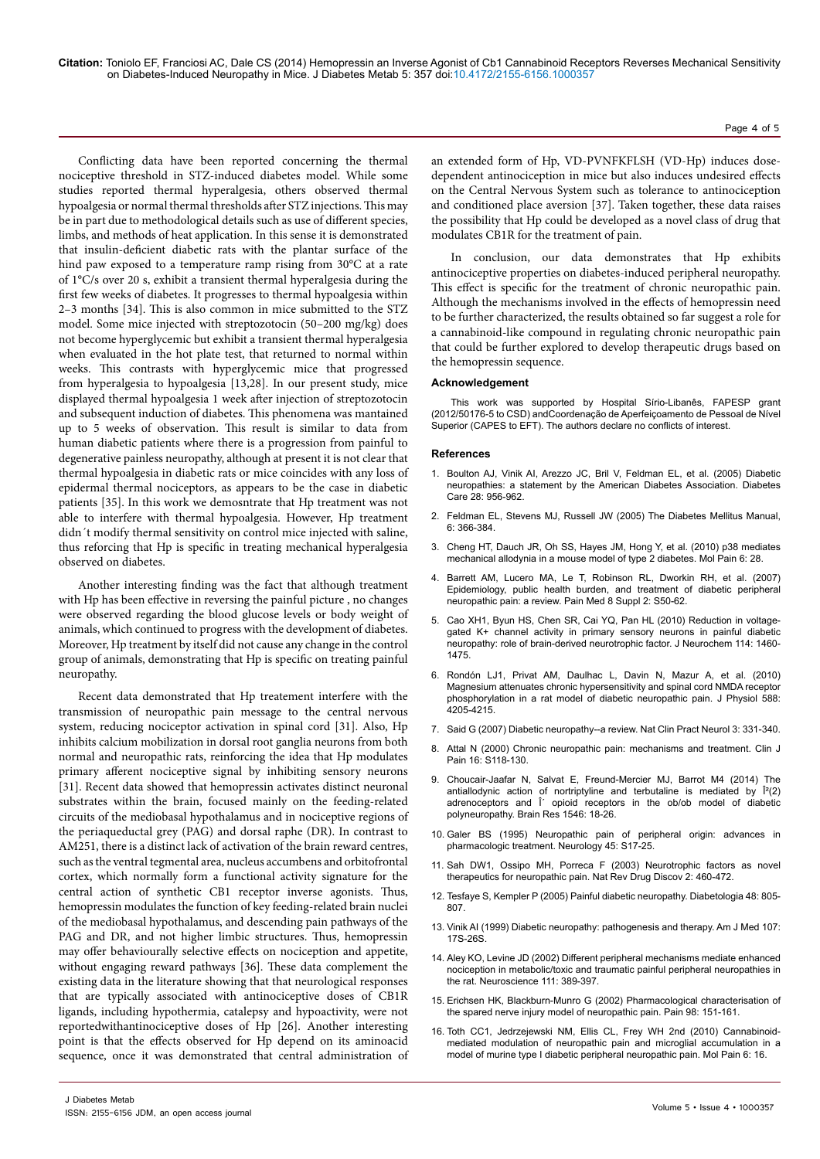**Citation:** Toniolo EF, Franciosi AC, Dale CS (2014) Hemopressin an Inverse Agonist of Cb1 Cannabinoid Receptors Reverses Mechanical Sensitivity on Diabetes-Induced Neuropathy in Mice. J Diabetes Metab 5: 357 doi:10.4172/2155-6156.1000357

Conflicting data have been reported concerning the thermal nociceptive threshold in STZ-induced diabetes model. While some studies reported thermal hyperalgesia, others observed thermal hypoalgesia or normal thermal thresholds after STZ injections. This may be in part due to methodological details such as use of different species, limbs, and methods of heat application. In this sense it is demonstrated that insulin-deficient diabetic rats with the plantar surface of the hind paw exposed to a temperature ramp rising from 30°C at a rate of 1°C/s over 20 s, exhibit a transient thermal hyperalgesia during the first few weeks of diabetes. It progresses to thermal hypoalgesia within 2–3 months [34]. This is also common in mice submitted to the STZ model. Some mice injected with streptozotocin (50–200 mg/kg) does not become hyperglycemic but exhibit a transient thermal hyperalgesia when evaluated in the hot plate test, that returned to normal within weeks. This contrasts with hyperglycemic mice that progressed from hyperalgesia to hypoalgesia [13,28]. In our present study, mice displayed thermal hypoalgesia 1 week after injection of streptozotocin and subsequent induction of diabetes. This phenomena was mantained up to 5 weeks of observation. This result is similar to data from human diabetic patients where there is a progression from painful to degenerative painless neuropathy, although at present it is not clear that thermal hypoalgesia in diabetic rats or mice coincides with any loss of epidermal thermal nociceptors, as appears to be the case in diabetic patients [35]. In this work we demosntrate that Hp treatment was not able to interfere with thermal hypoalgesia. However, Hp treatment didn´t modify thermal sensitivity on control mice injected with saline, thus reforcing that Hp is specific in treating mechanical hyperalgesia observed on diabetes.

Another interesting finding was the fact that although treatment with Hp has been effective in reversing the painful picture , no changes were observed regarding the blood glucose levels or body weight of animals, which continued to progress with the development of diabetes. Moreover, Hp treatment by itself did not cause any change in the control group of animals, demonstrating that Hp is specific on treating painful neuropathy.

Recent data demonstrated that Hp treatement interfere with the transmission of neuropathic pain message to the central nervous system, reducing nociceptor activation in spinal cord [31]. Also, Hp inhibits calcium mobilization in dorsal root ganglia neurons from both normal and neuropathic rats, reinforcing the idea that Hp modulates primary afferent nociceptive signal by inhibiting sensory neurons [31]. Recent data showed that hemopressin activates distinct neuronal substrates within the brain, focused mainly on the feeding-related circuits of the mediobasal hypothalamus and in nociceptive regions of the periaqueductal grey (PAG) and dorsal raphe (DR). In contrast to AM251, there is a distinct lack of activation of the brain reward centres, such as the ventral tegmental area, nucleus accumbens and orbitofrontal cortex, which normally form a functional activity signature for the central action of synthetic CB1 receptor inverse agonists. Thus, hemopressin modulates the function of key feeding-related brain nuclei of the mediobasal hypothalamus, and descending pain pathways of the PAG and DR, and not higher limbic structures. Thus, hemopressin may offer behaviourally selective effects on nociception and appetite, without engaging reward pathways [36]. These data complement the existing data in the literature showing that that neurological responses that are typically associated with antinociceptive doses of CB1R ligands, including hypothermia, catalepsy and hypoactivity, were not reportedwithantinociceptive doses of Hp [26]. Another interesting point is that the effects observed for Hp depend on its aminoacid sequence, once it was demonstrated that central administration of Page 4 of 5

an extended form of Hp, VD-PVNFKFLSH (VD-Hp) induces dosedependent antinociception in mice but also induces undesired effects on the Central Nervous System such as tolerance to antinociception and conditioned place aversion [37]. Taken together, these data raises the possibility that Hp could be developed as a novel class of drug that modulates CB1R for the treatment of pain.

In conclusion, our data demonstrates that Hp exhibits antinociceptive properties on diabetes-induced peripheral neuropathy. This effect is specific for the treatment of chronic neuropathic pain. Although the mechanisms involved in the effects of hemopressin need to be further characterized, the results obtained so far suggest a role for a cannabinoid-like compound in regulating chronic neuropathic pain that could be further explored to develop therapeutic drugs based on the hemopressin sequence.

#### **Acknowledgement**

This work was supported by Hospital Sírio-Libanês, FAPESP grant (2012/50176-5 to CSD) andCoordenação de Aperfeiçoamento de Pessoal de Nível Superior (CAPES to EFT). The authors declare no conflicts of interest.

#### **References**

- 1. [Boulton AJ, Vinik AI, Arezzo JC, Bril V, Feldman EL, et al. \(2005\) Diabetic](http://www.ncbi.nlm.nih.gov/pubmed/15793206)  [neuropathies: a statement by the American Diabetes Association. Diabetes](http://www.ncbi.nlm.nih.gov/pubmed/15793206)  [Care 28: 956-962.](http://www.ncbi.nlm.nih.gov/pubmed/15793206)
- 2. Feldman EL, Stevens MJ, Russell JW (2005) The Diabetes Mellitus Manual, 6: 366-384.
- 3. [Cheng HT, Dauch JR, Oh SS, Hayes JM, Hong Y, et al. \(2010\) p38 mediates](http://www.ncbi.nlm.nih.gov/pubmed/20482876)  [mechanical allodynia in a mouse model of type 2 diabetes. Mol Pain 6: 28.](http://www.ncbi.nlm.nih.gov/pubmed/20482876)
- 4. [Barrett AM, Lucero MA, Le T, Robinson RL, Dworkin RH, et al. \(2007\)](http://www.ncbi.nlm.nih.gov/pubmed/17714116)  [Epidemiology, public health burden, and treatment of diabetic peripheral](http://www.ncbi.nlm.nih.gov/pubmed/17714116)  [neuropathic pain: a review. Pain Med 8 Suppl 2: S50-62.](http://www.ncbi.nlm.nih.gov/pubmed/17714116)
- 5. [Cao XH1, Byun HS, Chen SR, Cai YQ, Pan HL \(2010\) Reduction in voltage](http://www.ncbi.nlm.nih.gov/pubmed/20557422)[gated K+ channel activity in primary sensory neurons in painful diabetic](http://www.ncbi.nlm.nih.gov/pubmed/20557422)  [neuropathy: role of brain-derived neurotrophic factor. J Neurochem 114: 1460-](http://www.ncbi.nlm.nih.gov/pubmed/20557422) [1475.](http://www.ncbi.nlm.nih.gov/pubmed/20557422)
- 6. [Rondón LJ1, Privat AM, Daulhac L, Davin N, Mazur A, et al. \(2010\)](http://www.ncbi.nlm.nih.gov/pubmed/20837644)  [Magnesium attenuates chronic hypersensitivity and spinal cord NMDA receptor](http://www.ncbi.nlm.nih.gov/pubmed/20837644)  [phosphorylation in a rat model of diabetic neuropathic pain. J Physiol 588:](http://www.ncbi.nlm.nih.gov/pubmed/20837644)  [4205-4215.](http://www.ncbi.nlm.nih.gov/pubmed/20837644)
- 7. [Said G \(2007\) Diabetic neuropathy--a review. Nat Clin Pract Neurol 3: 331-340.](http://www.ncbi.nlm.nih.gov/pubmed/17549059)
- Attal N (2000) Chronic neuropathic pain: mechanisms and treatment. Clin J [Pain 16: S118-130.](http://www.ncbi.nlm.nih.gov/pubmed/11014456)
- 9. [Choucair-Jaafar N, Salvat E, Freund-Mercier MJ, Barrot M4 \(2014\) The](http://www.ncbi.nlm.nih.gov/pubmed/24361988)  antiallodynic action of nortriptyline and terbutaline is mediated by  $\hat{I}^2(2)$ adrenoceptors and Î opioid receptors in the ob/ob model of diabetic [polyneuropathy. Brain Res 1546: 18-26.](http://www.ncbi.nlm.nih.gov/pubmed/24361988)
- 10. [Galer BS \(1995\) Neuropathic pain of peripheral origin: advances in](http://www.ncbi.nlm.nih.gov/pubmed/8538882)  [pharmacologic treatment. Neurology 45: S17-25.](http://www.ncbi.nlm.nih.gov/pubmed/8538882)
- 11. [Sah DW1, Ossipo MH, Porreca F \(2003\) Neurotrophic factors as novel](http://www.ncbi.nlm.nih.gov/pubmed/12776221)  [therapeutics for neuropathic pain. Nat Rev Drug Discov 2: 460-472.](http://www.ncbi.nlm.nih.gov/pubmed/12776221)
- 12. [Tesfaye S, Kempler P \(2005\) Painful diabetic neuropathy. Diabetologia 48: 805-](http://www.ncbi.nlm.nih.gov/pubmed/15834549) [807.](http://www.ncbi.nlm.nih.gov/pubmed/15834549)
- 13. [Vinik AI \(1999\) Diabetic neuropathy: pathogenesis and therapy. Am J Med 107:](http://www.ncbi.nlm.nih.gov/pubmed/10484041)  [17S-26S.](http://www.ncbi.nlm.nih.gov/pubmed/10484041)
- 14. [Aley KO, Levine JD \(2002\) Different peripheral mechanisms mediate enhanced](http://www.ncbi.nlm.nih.gov/pubmed/11983324)  [nociception in metabolic/toxic and traumatic painful peripheral neuropathies in](http://www.ncbi.nlm.nih.gov/pubmed/11983324)  [the rat. Neuroscience 111: 389-397.](http://www.ncbi.nlm.nih.gov/pubmed/11983324)
- 15. [Erichsen HK, Blackburn-Munro G \(2002\) Pharmacological characterisation of](http://www.ncbi.nlm.nih.gov/pubmed/12098627)  [the spared nerve injury model of neuropathic pain. Pain 98: 151-161.](http://www.ncbi.nlm.nih.gov/pubmed/12098627)
- 16. [Toth CC1, Jedrzejewski NM, Ellis CL, Frey WH 2nd \(2010\) Cannabinoid](http://www.ncbi.nlm.nih.gov/pubmed/20236533)[mediated modulation of neuropathic pain and microglial accumulation in a](http://www.ncbi.nlm.nih.gov/pubmed/20236533)  [model of murine type I diabetic peripheral neuropathic pain. Mol Pain 6: 16.](http://www.ncbi.nlm.nih.gov/pubmed/20236533)